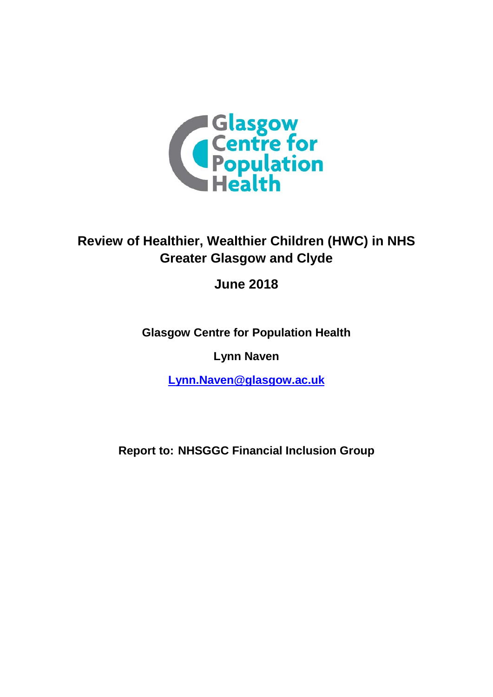

# **Review of Healthier, Wealthier Children (HWC) in NHS Greater Glasgow and Clyde**

**June 2018**

**Glasgow Centre for Population Health**

**Lynn Naven**

**[Lynn.Naven@glasgow.ac.uk](mailto:Lynn.Naven@glasgow.ac.uk)**

**Report to: NHSGGC Financial Inclusion Group**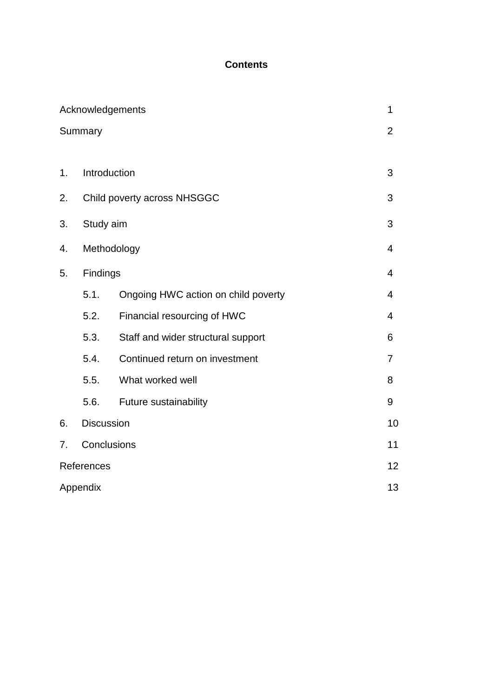## **Contents**

|    |                   | Acknowledgements                    | 1              |
|----|-------------------|-------------------------------------|----------------|
|    | Summary           |                                     | $\overline{2}$ |
|    |                   |                                     |                |
| 1. |                   | Introduction                        | 3              |
| 2. |                   | Child poverty across NHSGGC         | 3              |
| 3. | Study aim         |                                     | 3              |
| 4. |                   | Methodology                         | $\overline{4}$ |
| 5. | Findings          |                                     | $\overline{4}$ |
|    | 5.1.              | Ongoing HWC action on child poverty | 4              |
|    | 5.2.              | Financial resourcing of HWC         | 4              |
|    | 5.3.              | Staff and wider structural support  | 6              |
|    | 5.4.              | Continued return on investment      | 7              |
|    | 5.5.              | What worked well                    | 8              |
|    | 5.6.              | Future sustainability               | 9              |
| 6. | <b>Discussion</b> |                                     | 10             |
| 7. | Conclusions       |                                     |                |
|    | References        |                                     | 12             |
|    | Appendix          |                                     | 13             |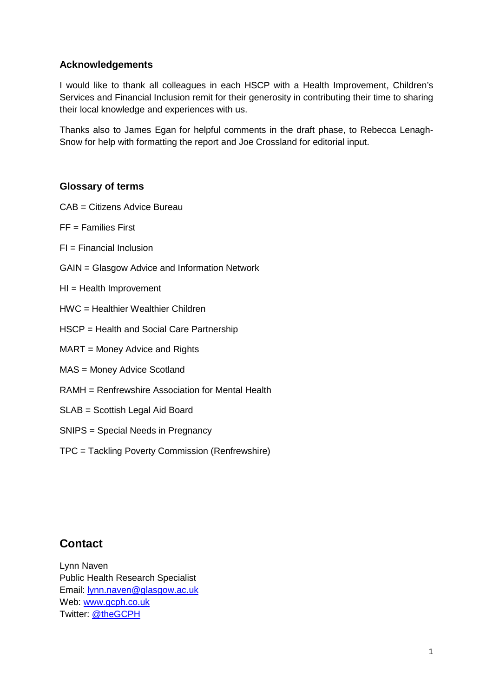## **Acknowledgements**

I would like to thank all colleagues in each HSCP with a Health Improvement, Children's Services and Financial Inclusion remit for their generosity in contributing their time to sharing their local knowledge and experiences with us.

Thanks also to James Egan for helpful comments in the draft phase, to Rebecca Lenagh-Snow for help with formatting the report and Joe Crossland for editorial input.

## **Glossary of terms**

- CAB = Citizens Advice Bureau
- $FF =$  Families First
- $FI = Financial Inclusion$
- GAIN = Glasgow Advice and Information Network
- HI = Health Improvement
- HWC = Healthier Wealthier Children
- HSCP = Health and Social Care Partnership
- MART = Money Advice and Rights
- MAS = Money Advice Scotland
- RAMH = Renfrewshire Association for Mental Health
- SLAB = Scottish Legal Aid Board
- SNIPS = Special Needs in Pregnancy
- TPC = Tackling Poverty Commission (Renfrewshire)

## **Contact**

Lynn Naven Public Health Research Specialist Email: [lynn.naven@glasgow.ac.uk](mailto:lynn.naven@glasgow.ac.uk) Web: [www.gcph.co.uk](http://www.gcph.co.uk/) Twitter: [@theGCPH](https://twitter.com/thegcph)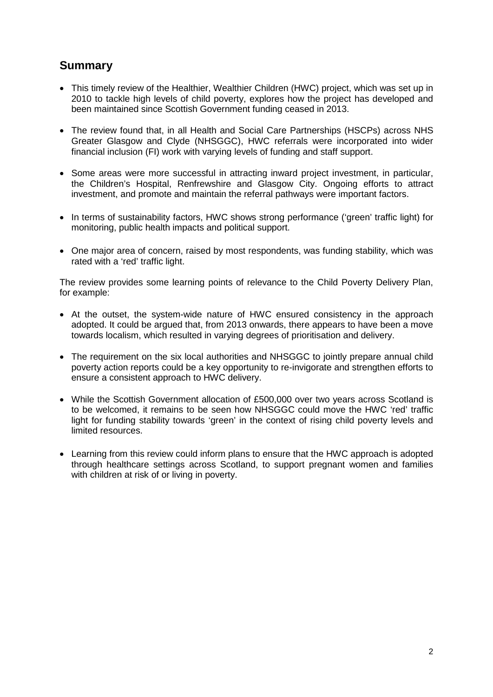## **Summary**

- This timely review of the Healthier, Wealthier Children (HWC) project, which was set up in 2010 to tackle high levels of child poverty, explores how the project has developed and been maintained since Scottish Government funding ceased in 2013.
- The review found that, in all Health and Social Care Partnerships (HSCPs) across NHS Greater Glasgow and Clyde (NHSGGC), HWC referrals were incorporated into wider financial inclusion (FI) work with varying levels of funding and staff support.
- Some areas were more successful in attracting inward project investment, in particular, the Children's Hospital, Renfrewshire and Glasgow City. Ongoing efforts to attract investment, and promote and maintain the referral pathways were important factors.
- In terms of sustainability factors, HWC shows strong performance ('green' traffic light) for monitoring, public health impacts and political support.
- One major area of concern, raised by most respondents, was funding stability, which was rated with a 'red' traffic light.

The review provides some learning points of relevance to the Child Poverty Delivery Plan, for example:

- At the outset, the system-wide nature of HWC ensured consistency in the approach adopted. It could be argued that, from 2013 onwards, there appears to have been a move towards localism, which resulted in varying degrees of prioritisation and delivery.
- The requirement on the six local authorities and NHSGGC to jointly prepare annual child poverty action reports could be a key opportunity to re-invigorate and strengthen efforts to ensure a consistent approach to HWC delivery.
- While the Scottish Government allocation of £500,000 over two years across Scotland is to be welcomed, it remains to be seen how NHSGGC could move the HWC 'red' traffic light for funding stability towards 'green' in the context of rising child poverty levels and limited resources.
- Learning from this review could inform plans to ensure that the HWC approach is adopted through healthcare settings across Scotland, to support pregnant women and families with children at risk of or living in poverty.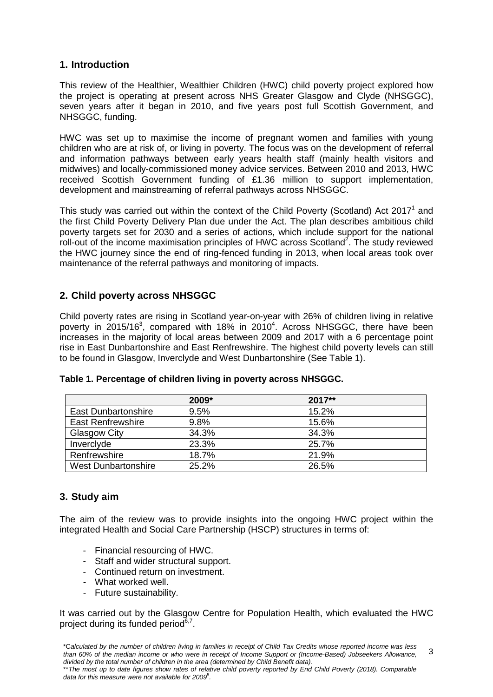## **1. Introduction**

This review of the Healthier, Wealthier Children (HWC) child poverty project explored how the project is operating at present across NHS Greater Glasgow and Clyde (NHSGGC), seven years after it began in 2010, and five years post full Scottish Government, and NHSGGC, funding.

HWC was set up to maximise the income of pregnant women and families with young children who are at risk of, or living in poverty. The focus was on the development of referral and information pathways between early years health staff (mainly health visitors and midwives) and locally-commissioned money advice services. Between 2010 and 2013, HWC received Scottish Government funding of £1.36 million to support implementation, development and mainstreaming of referral pathways across NHSGGC.

This study was carried out within the context of the Child Poverty (Scotland) Act 2017<sup>1</sup> and the first Child Poverty Delivery Plan due under the Act. The plan describes ambitious child poverty targets set for 2030 and a series of actions, which include support for the national roll-out of the income maximisation principles of HWC across Scotland<sup>2</sup>. The study reviewed the HWC journey since the end of ring-fenced funding in 2013, when local areas took over maintenance of the referral pathways and monitoring of impacts.

## **2. Child poverty across NHSGGC**

Child poverty rates are rising in Scotland year-on-year with 26% of children living in relative poverty in 2015/16<sup>3</sup>, compared with 18% in 2010<sup>4</sup>. Across NHSGGC, there have been increases in the majority of local areas between 2009 and 2017 with a 6 percentage point rise in East Dunbartonshire and East Renfrewshire. The highest child poverty levels can still to be found in Glasgow, Inverclyde and West Dunbartonshire (See Table 1).

|                            | $2009*$ | 2017** |
|----------------------------|---------|--------|
| <b>East Dunbartonshire</b> | 9.5%    | 15.2%  |
| <b>East Renfrewshire</b>   | 9.8%    | 15.6%  |
| Glasgow City               | 34.3%   | 34.3%  |
| Inverclyde                 | 23.3%   | 25.7%  |
| Renfrewshire               | 18.7%   | 21.9%  |
| <b>West Dunbartonshire</b> | 25.2%   | 26.5%  |

#### **Table 1. Percentage of children living in poverty across NHSGGC.**

## **3. Study aim**

The aim of the review was to provide insights into the ongoing HWC project within the integrated Health and Social Care Partnership (HSCP) structures in terms of:

- Financial resourcing of HWC.
- Staff and wider structural support.
- Continued return on investment.
- What worked well.
- Future sustainability.

It was carried out by the Glasgow Centre for Population Health, which evaluated the HWC project during its funded period $6,7$ .

\*\**The most up to date figures show rates of relative child poverty reported by End Child Poverty (2018). Comparable data for this measure were not available for 2009*<sup>5</sup> *.*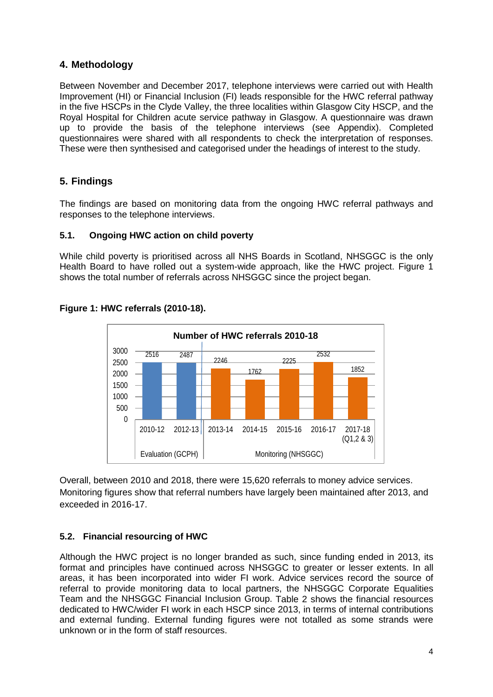## **4. Methodology**

Between November and December 2017, telephone interviews were carried out with Health Improvement (HI) or Financial Inclusion (FI) leads responsible for the HWC referral pathway in the five HSCPs in the Clyde Valley, the three localities within Glasgow City HSCP, and the Royal Hospital for Children acute service pathway in Glasgow. A questionnaire was drawn up to provide the basis of the telephone interviews (see Appendix). Completed questionnaires were shared with all respondents to check the interpretation of responses. These were then synthesised and categorised under the headings of interest to the study.

## **5. Findings**

The findings are based on monitoring data from the ongoing HWC referral pathways and responses to the telephone interviews.

#### **5.1. Ongoing HWC action on child poverty**

While child poverty is prioritised across all NHS Boards in Scotland, NHSGGC is the only Health Board to have rolled out a system-wide approach, like the HWC project. Figure 1 shows the total number of referrals across NHSGGC since the project began.



#### **Figure 1: HWC referrals (2010-18).**

Overall, between 2010 and 2018, there were 15,620 referrals to money advice services. Monitoring figures show that referral numbers have largely been maintained after 2013, and exceeded in 2016-17.

## **5.2. Financial resourcing of HWC**

Although the HWC project is no longer branded as such, since funding ended in 2013, its format and principles have continued across NHSGGC to greater or lesser extents. In all areas, it has been incorporated into wider FI work. Advice services record the source of referral to provide monitoring data to local partners, the NHSGGC Corporate Equalities Team and the NHSGGC Financial Inclusion Group. Table 2 shows the financial resources dedicated to HWC/wider FI work in each HSCP since 2013, in terms of internal contributions and external funding. External funding figures were not totalled as some strands were unknown or in the form of staff resources.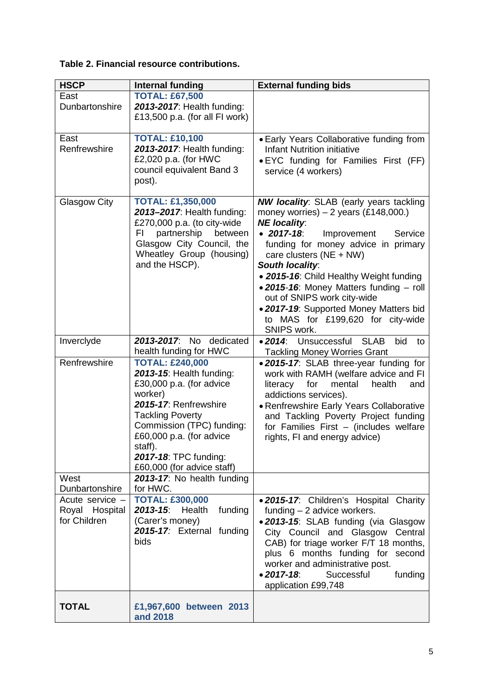## **Table 2. Financial resource contributions.**

| <b>HSCP</b>                                       | <b>Internal funding</b>                                                                                                                                                                                                                                                  | <b>External funding bids</b>                                                                                                                                                                                                                                                                                                                                                                                                                                                      |
|---------------------------------------------------|--------------------------------------------------------------------------------------------------------------------------------------------------------------------------------------------------------------------------------------------------------------------------|-----------------------------------------------------------------------------------------------------------------------------------------------------------------------------------------------------------------------------------------------------------------------------------------------------------------------------------------------------------------------------------------------------------------------------------------------------------------------------------|
| East<br>Dunbartonshire                            | <b>TOTAL: £67,500</b><br>2013-2017: Health funding:<br>£13,500 p.a. (for all FI work)                                                                                                                                                                                    |                                                                                                                                                                                                                                                                                                                                                                                                                                                                                   |
| East<br>Renfrewshire                              | <b>TOTAL: £10,100</b><br>2013-2017: Health funding:<br>£2,020 p.a. (for HWC<br>council equivalent Band 3<br>post).                                                                                                                                                       | • Early Years Collaborative funding from<br><b>Infant Nutrition initiative</b><br>• EYC funding for Families First (FF)<br>service (4 workers)                                                                                                                                                                                                                                                                                                                                    |
| <b>Glasgow City</b>                               | <b>TOTAL: £1,350,000</b><br>2013-2017: Health funding:<br>£270,000 p.a. (to city-wide<br>partnership<br>FI<br>between<br>Glasgow City Council, the<br>Wheatley Group (housing)<br>and the HSCP).                                                                         | <b>NW locality:</b> SLAB (early years tackling<br>money worries) $-2$ years (£148,000.)<br><b>NE</b> locality:<br>$\bullet$ 2017-18:<br>Improvement<br>Service<br>funding for money advice in primary<br>care clusters ( $NE + NW$ )<br><b>South locality:</b><br>• 2015-16: Child Healthy Weight funding<br>• 2015-16: Money Matters funding - roll<br>out of SNIPS work city-wide<br>. 2017-19: Supported Money Matters bid<br>to MAS for £199,620 for city-wide<br>SNIPS work. |
| Inverclyde                                        | 2013-2017: No dedicated<br>health funding for HWC                                                                                                                                                                                                                        | <b>SLAB</b><br>• 2014: Unsuccessful<br>bid<br>to<br><b>Tackling Money Worries Grant</b>                                                                                                                                                                                                                                                                                                                                                                                           |
| Renfrewshire                                      | <b>TOTAL: £240,000</b><br>2013-15: Health funding:<br>£30,000 p.a. (for advice<br>worker)<br>2015-17: Renfrewshire<br><b>Tackling Poverty</b><br>Commission (TPC) funding:<br>£60,000 p.a. (for advice<br>staff).<br>2017-18: TPC funding:<br>£60,000 (for advice staff) | . 2015-17: SLAB three-year funding for<br>work with RAMH (welfare advice and FI<br>for<br>mental<br>health<br>literacy<br>and<br>addictions services).<br>· Renfrewshire Early Years Collaborative<br>and Tackling Poverty Project funding<br>for Families First - (includes welfare<br>rights, FI and energy advice)                                                                                                                                                             |
| West<br>Dunbartonshire                            | 2013-17: No health funding<br>for HWC.                                                                                                                                                                                                                                   |                                                                                                                                                                                                                                                                                                                                                                                                                                                                                   |
| Acute service -<br>Royal Hospital<br>for Children | <b>TOTAL: £300,000</b><br>$2013 - 15$<br>funding<br>Health<br>(Carer's money)<br>2015-17: External funding<br>bids                                                                                                                                                       | . 2015-17: Children's Hospital Charity<br>funding $-2$ advice workers.<br>. 2013-15: SLAB funding (via Glasgow<br>City Council and Glasgow Central<br>CAB) for triage worker F/T 18 months,<br>plus 6 months funding for second<br>worker and administrative post.<br>$• 2017 - 18.$<br>Successful<br>funding<br>application £99,748                                                                                                                                              |
| <b>TOTAL</b>                                      | £1,967,600 between 2013<br>and 2018                                                                                                                                                                                                                                      |                                                                                                                                                                                                                                                                                                                                                                                                                                                                                   |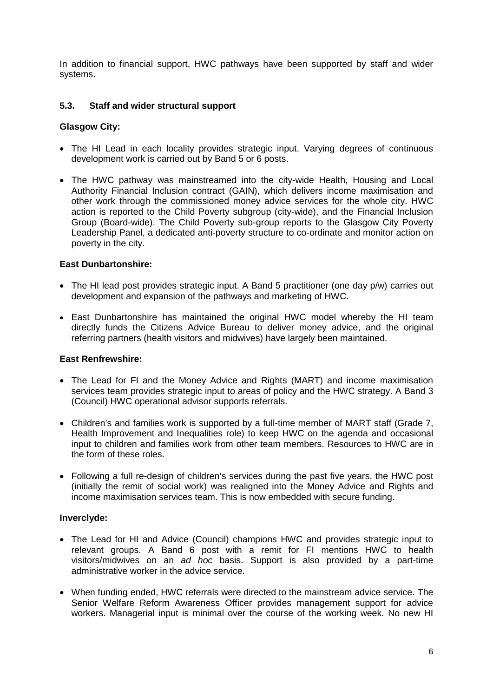In addition to financial support, HWC pathways have been supported by staff and wider systems.

#### **5.3. Staff and wider structural support**

#### **Glasgow City:**

- The HI Lead in each locality provides strategic input. Varying degrees of continuous development work is carried out by Band 5 or 6 posts.
- The HWC pathway was mainstreamed into the city-wide Health, Housing and Local Authority Financial Inclusion contract (GAIN), which delivers income maximisation and other work through the commissioned money advice services for the whole city. HWC action is reported to the Child Poverty subgroup (city-wide), and the Financial Inclusion Group (Board-wide). The Child Poverty sub-group reports to the Glasgow City Poverty Leadership Panel, a dedicated anti-poverty structure to co-ordinate and monitor action on poverty in the city.

#### **East Dunbartonshire:**

- The HI lead post provides strategic input. A Band 5 practitioner (one day p/w) carries out development and expansion of the pathways and marketing of HWC.
- East Dunbartonshire has maintained the original HWC model whereby the HI team directly funds the Citizens Advice Bureau to deliver money advice, and the original referring partners (health visitors and midwives) have largely been maintained.

#### **East Renfrewshire:**

- The Lead for FI and the Money Advice and Rights (MART) and income maximisation services team provides strategic input to areas of policy and the HWC strategy. A Band 3 (Council) HWC operational advisor supports referrals.
- Children's and families work is supported by a full-time member of MART staff (Grade 7, Health Improvement and Inequalities role) to keep HWC on the agenda and occasional input to children and families work from other team members. Resources to HWC are in the form of these roles.
- Following a full re-design of children's services during the past five years, the HWC post (initially the remit of social work) was realigned into the Money Advice and Rights and income maximisation services team. This is now embedded with secure funding.

#### **Inverclyde:**

- The Lead for HI and Advice (Council) champions HWC and provides strategic input to relevant groups. A Band 6 post with a remit for FI mentions HWC to health visitors/midwives on an *ad hoc* basis. Support is also provided by a part-time administrative worker in the advice service.
- When funding ended, HWC referrals were directed to the mainstream advice service. The Senior Welfare Reform Awareness Officer provides management support for advice workers. Managerial input is minimal over the course of the working week. No new HI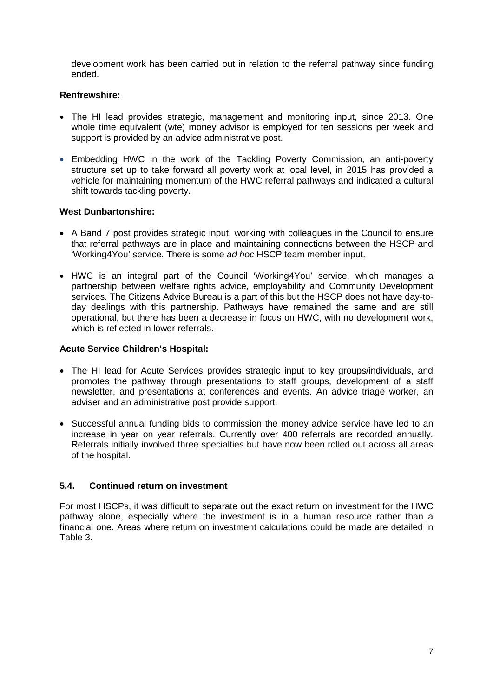development work has been carried out in relation to the referral pathway since funding ended.

#### **Renfrewshire:**

- The HI lead provides strategic, management and monitoring input, since 2013. One whole time equivalent (wte) money advisor is employed for ten sessions per week and support is provided by an advice administrative post.
- Embedding HWC in the work of the Tackling Poverty Commission, an anti-poverty structure set up to take forward all poverty work at local level, in 2015 has provided a vehicle for maintaining momentum of the HWC referral pathways and indicated a cultural shift towards tackling poverty.

#### **West Dunbartonshire:**

- A Band 7 post provides strategic input, working with colleagues in the Council to ensure that referral pathways are in place and maintaining connections between the HSCP and 'Working4You' service. There is some *ad hoc* HSCP team member input.
- HWC is an integral part of the Council 'Working4You' service, which manages a partnership between welfare rights advice, employability and Community Development services. The Citizens Advice Bureau is a part of this but the HSCP does not have day-today dealings with this partnership. Pathways have remained the same and are still operational, but there has been a decrease in focus on HWC, with no development work, which is reflected in lower referrals.

#### **Acute Service Children's Hospital:**

- The HI lead for Acute Services provides strategic input to key groups/individuals, and promotes the pathway through presentations to staff groups, development of a staff newsletter, and presentations at conferences and events. An advice triage worker, an adviser and an administrative post provide support.
- Successful annual funding bids to commission the money advice service have led to an increase in year on year referrals. Currently over 400 referrals are recorded annually. Referrals initially involved three specialties but have now been rolled out across all areas of the hospital.

#### **5.4. Continued return on investment**

For most HSCPs, it was difficult to separate out the exact return on investment for the HWC pathway alone, especially where the investment is in a human resource rather than a financial one. Areas where return on investment calculations could be made are detailed in Table 3.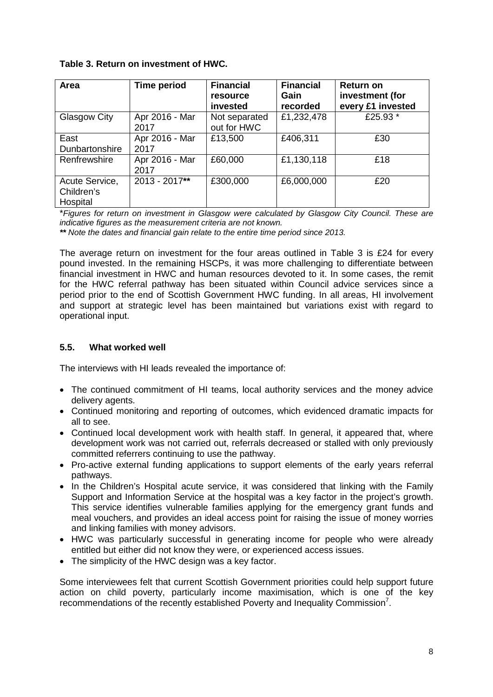|  |  |  | Table 3. Return on investment of HWC. |  |  |
|--|--|--|---------------------------------------|--|--|
|--|--|--|---------------------------------------|--|--|

| Area                                     | <b>Time period</b>     | <b>Financial</b><br>resource<br>invested | <b>Financial</b><br>Gain<br>recorded | <b>Return on</b><br>investment (for<br>every £1 invested |
|------------------------------------------|------------------------|------------------------------------------|--------------------------------------|----------------------------------------------------------|
| Glasgow City                             | Apr 2016 - Mar<br>2017 | Not separated<br>out for HWC             | £1,232,478                           | £25.93 *                                                 |
| East<br>Dunbartonshire                   | Apr 2016 - Mar<br>2017 | £13,500                                  | £406,311                             | £30                                                      |
| Renfrewshire                             | Apr 2016 - Mar<br>2017 | £60,000                                  | £1,130,118                           | £18                                                      |
| Acute Service,<br>Children's<br>Hospital | $2013 - 2017**$        | £300,000                                 | £6,000,000                           | £20                                                      |

\**Figures for return on investment in Glasgow were calculated by Glasgow City Council. These are indicative figures as the measurement criteria are not known.*

*\*\* Note the dates and financial gain relate to the entire time period since 2013.*

The average return on investment for the four areas outlined in Table 3 is £24 for every pound invested. In the remaining HSCPs, it was more challenging to differentiate between financial investment in HWC and human resources devoted to it. In some cases, the remit for the HWC referral pathway has been situated within Council advice services since a period prior to the end of Scottish Government HWC funding. In all areas, HI involvement and support at strategic level has been maintained but variations exist with regard to operational input.

## **5.5. What worked well**

The interviews with HI leads revealed the importance of:

- The continued commitment of HI teams, local authority services and the money advice delivery agents.
- Continued monitoring and reporting of outcomes, which evidenced dramatic impacts for all to see.
- Continued local development work with health staff. In general, it appeared that, where development work was not carried out, referrals decreased or stalled with only previously committed referrers continuing to use the pathway.
- Pro-active external funding applications to support elements of the early years referral pathways.
- In the Children's Hospital acute service, it was considered that linking with the Family Support and Information Service at the hospital was a key factor in the project's growth. This service identifies vulnerable families applying for the emergency grant funds and meal vouchers, and provides an ideal access point for raising the issue of money worries and linking families with money advisors.
- HWC was particularly successful in generating income for people who were already entitled but either did not know they were, or experienced access issues.
- The simplicity of the HWC design was a key factor.

Some interviewees felt that current Scottish Government priorities could help support future action on child poverty, particularly income maximisation, which is one of the key recommendations of the recently established Poverty and Inequality Commission<sup>7</sup>.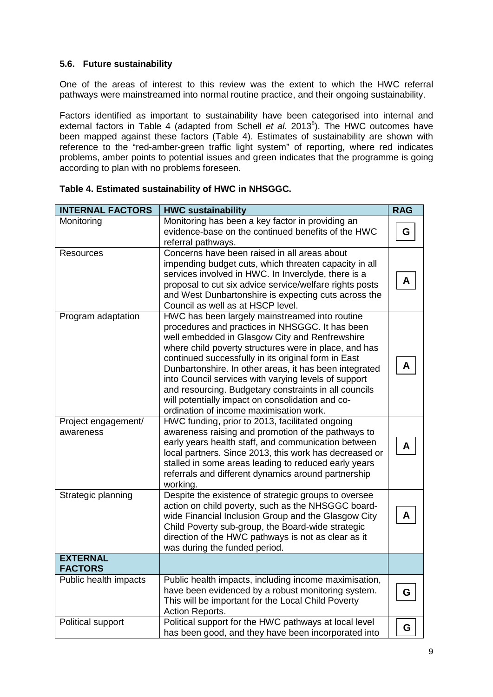#### **5.6. Future sustainability**

One of the areas of interest to this review was the extent to which the HWC referral pathways were mainstreamed into normal routine practice, and their ongoing sustainability.

Factors identified as important to sustainability have been categorised into internal and external factors in Table 4 (adapted from Schell *et al.* 2013<sup>8</sup>). The HWC outcomes have been mapped against these factors (Table 4). Estimates of sustainability are shown with reference to the "red-amber-green traffic light system" of reporting, where red indicates problems, amber points to potential issues and green indicates that the programme is going according to plan with no problems foreseen.

| <b>INTERNAL FACTORS</b> | <b>HWC sustainability</b>                                       | <b>RAG</b> |
|-------------------------|-----------------------------------------------------------------|------------|
| Monitoring              | Monitoring has been a key factor in providing an                |            |
|                         | evidence-base on the continued benefits of the HWC              | G          |
|                         | referral pathways.                                              |            |
| <b>Resources</b>        | Concerns have been raised in all areas about                    |            |
|                         | impending budget cuts, which threaten capacity in all           |            |
|                         | services involved in HWC. In Inverclyde, there is a             | A          |
|                         | proposal to cut six advice service/welfare rights posts         |            |
|                         | and West Dunbartonshire is expecting cuts across the            |            |
|                         | Council as well as at HSCP level.                               |            |
| Program adaptation      | HWC has been largely mainstreamed into routine                  |            |
|                         | procedures and practices in NHSGGC. It has been                 |            |
|                         | well embedded in Glasgow City and Renfrewshire                  |            |
|                         | where child poverty structures were in place, and has           |            |
|                         | continued successfully in its original form in East             | A          |
|                         | Dunbartonshire. In other areas, it has been integrated          |            |
|                         | into Council services with varying levels of support            |            |
|                         | and resourcing. Budgetary constraints in all councils           |            |
|                         | will potentially impact on consolidation and co-                |            |
|                         | ordination of income maximisation work.                         |            |
| Project engagement/     | HWC funding, prior to 2013, facilitated ongoing                 |            |
| awareness               | awareness raising and promotion of the pathways to              |            |
|                         | early years health staff, and communication between             | A          |
|                         | local partners. Since 2013, this work has decreased or          |            |
|                         | stalled in some areas leading to reduced early years            |            |
|                         | referrals and different dynamics around partnership<br>working. |            |
| Strategic planning      | Despite the existence of strategic groups to oversee            |            |
|                         | action on child poverty, such as the NHSGGC board-              |            |
|                         | wide Financial Inclusion Group and the Glasgow City             | A          |
|                         | Child Poverty sub-group, the Board-wide strategic               |            |
|                         | direction of the HWC pathways is not as clear as it             |            |
|                         | was during the funded period.                                   |            |
| <b>EXTERNAL</b>         |                                                                 |            |
| <b>FACTORS</b>          |                                                                 |            |
| Public health impacts   | Public health impacts, including income maximisation,           |            |
|                         | have been evidenced by a robust monitoring system.              | G          |
|                         | This will be important for the Local Child Poverty              |            |
|                         | Action Reports.                                                 |            |
| Political support       | Political support for the HWC pathways at local level           |            |
|                         | has been good, and they have been incorporated into             | G          |

#### **Table 4. Estimated sustainability of HWC in NHSGGC.**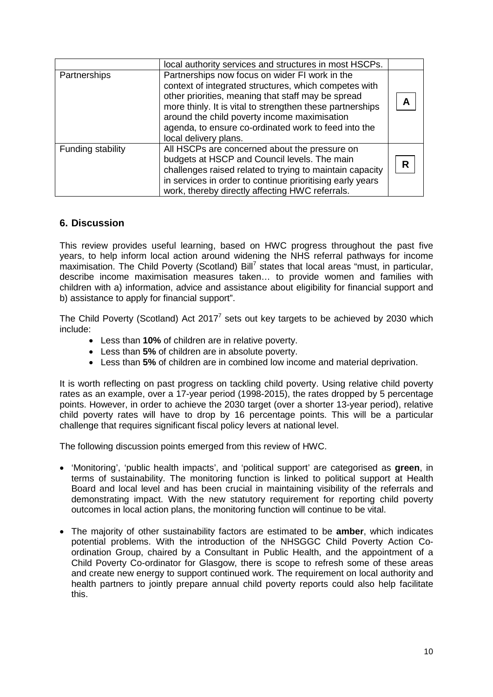|                   | local authority services and structures in most HSCPs.                                                                                                                                                                                                                                                                                                      |   |
|-------------------|-------------------------------------------------------------------------------------------------------------------------------------------------------------------------------------------------------------------------------------------------------------------------------------------------------------------------------------------------------------|---|
| Partnerships      | Partnerships now focus on wider FI work in the<br>context of integrated structures, which competes with<br>other priorities, meaning that staff may be spread<br>more thinly. It is vital to strengthen these partnerships<br>around the child poverty income maximisation<br>agenda, to ensure co-ordinated work to feed into the<br>local delivery plans. |   |
| Funding stability | All HSCPs are concerned about the pressure on<br>budgets at HSCP and Council levels. The main<br>challenges raised related to trying to maintain capacity<br>in services in order to continue prioritising early years<br>work, thereby directly affecting HWC referrals.                                                                                   | R |

## **6. Discussion**

This review provides useful learning, based on HWC progress throughout the past five years, to help inform local action around widening the NHS referral pathways for income maximisation. The Child Poverty (Scotland) Bill<sup>7</sup> states that local areas "must, in particular, describe income maximisation measures taken… to provide women and families with children with a) information, advice and assistance about eligibility for financial support and b) assistance to apply for financial support".

The Child Poverty (Scotland) Act 2017<sup>7</sup> sets out key targets to be achieved by 2030 which include:

- Less than **10%** of children are in relative poverty.
- Less than **5%** of children are in absolute poverty.
- Less than **5%** of children are in combined low income and material deprivation.

It is worth reflecting on past progress on tackling child poverty. Using relative child poverty rates as an example, over a 17-year period (1998-2015), the rates dropped by 5 percentage points. However, in order to achieve the 2030 target (over a shorter 13-year period), relative child poverty rates will have to drop by 16 percentage points. This will be a particular challenge that requires significant fiscal policy levers at national level.

The following discussion points emerged from this review of HWC.

- 'Monitoring', 'public health impacts', and 'political support' are categorised as **green**, in terms of sustainability. The monitoring function is linked to political support at Health Board and local level and has been crucial in maintaining visibility of the referrals and demonstrating impact. With the new statutory requirement for reporting child poverty outcomes in local action plans, the monitoring function will continue to be vital.
- The majority of other sustainability factors are estimated to be **amber**, which indicates potential problems. With the introduction of the NHSGGC Child Poverty Action Coordination Group, chaired by a Consultant in Public Health, and the appointment of a Child Poverty Co-ordinator for Glasgow, there is scope to refresh some of these areas and create new energy to support continued work. The requirement on local authority and health partners to jointly prepare annual child poverty reports could also help facilitate this.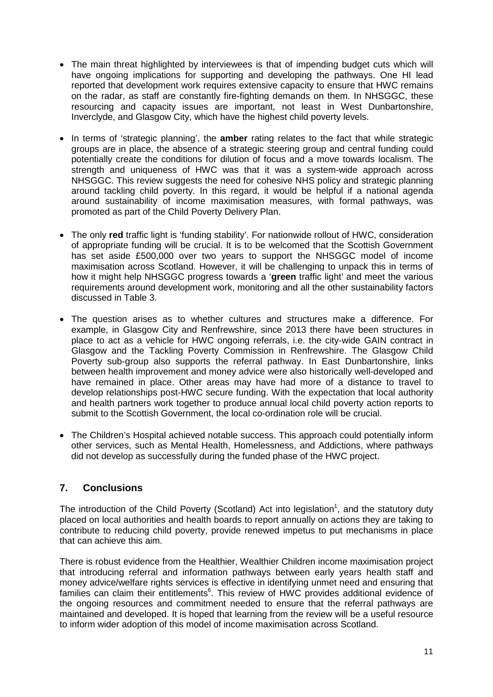- The main threat highlighted by interviewees is that of impending budget cuts which will have ongoing implications for supporting and developing the pathways. One HI lead reported that development work requires extensive capacity to ensure that HWC remains on the radar, as staff are constantly fire-fighting demands on them. In NHSGGC, these resourcing and capacity issues are important, not least in West Dunbartonshire, Inverclyde, and Glasgow City, which have the highest child poverty levels.
- In terms of 'strategic planning', the **amber** rating relates to the fact that while strategic groups are in place, the absence of a strategic steering group and central funding could potentially create the conditions for dilution of focus and a move towards localism. The strength and uniqueness of HWC was that it was a system-wide approach across NHSGGC. This review suggests the need for cohesive NHS policy and strategic planning around tackling child poverty. In this regard, it would be helpful if a national agenda around sustainability of income maximisation measures, with formal pathways, was promoted as part of the Child Poverty Delivery Plan.
- The only **red** traffic light is 'funding stability'. For nationwide rollout of HWC, consideration of appropriate funding will be crucial. It is to be welcomed that the Scottish Government has set aside £500,000 over two years to support the NHSGGC model of income maximisation across Scotland. However, it will be challenging to unpack this in terms of how it might help NHSGGC progress towards a '**green** traffic light' and meet the various requirements around development work, monitoring and all the other sustainability factors discussed in Table 3.
- The question arises as to whether cultures and structures make a difference. For example, in Glasgow City and Renfrewshire, since 2013 there have been structures in place to act as a vehicle for HWC ongoing referrals, i.e. the city-wide GAIN contract in Glasgow and the Tackling Poverty Commission in Renfrewshire. The Glasgow Child Poverty sub-group also supports the referral pathway. In East Dunbartonshire, links between health improvement and money advice were also historically well-developed and have remained in place. Other areas may have had more of a distance to travel to develop relationships post-HWC secure funding. With the expectation that local authority and health partners work together to produce annual local child poverty action reports to submit to the Scottish Government, the local co-ordination role will be crucial.
- The Children's Hospital achieved notable success. This approach could potentially inform other services, such as Mental Health, Homelessness, and Addictions, where pathways did not develop as successfully during the funded phase of the HWC project.

## **7. Conclusions**

The introduction of the Child Poverty (Scotland) Act into legislation<sup>1</sup>, and the statutory duty placed on local authorities and health boards to report annually on actions they are taking to contribute to reducing child poverty, provide renewed impetus to put mechanisms in place that can achieve this aim.

There is robust evidence from the Healthier, Wealthier Children income maximisation project that introducing referral and information pathways between early years health staff and money advice/welfare rights services is effective in identifying unmet need and ensuring that families can claim their entitlements<sup>6</sup>. This review of HWC provides additional evidence of the ongoing resources and commitment needed to ensure that the referral pathways are maintained and developed. It is hoped that learning from the review will be a useful resource to inform wider adoption of this model of income maximisation across Scotland.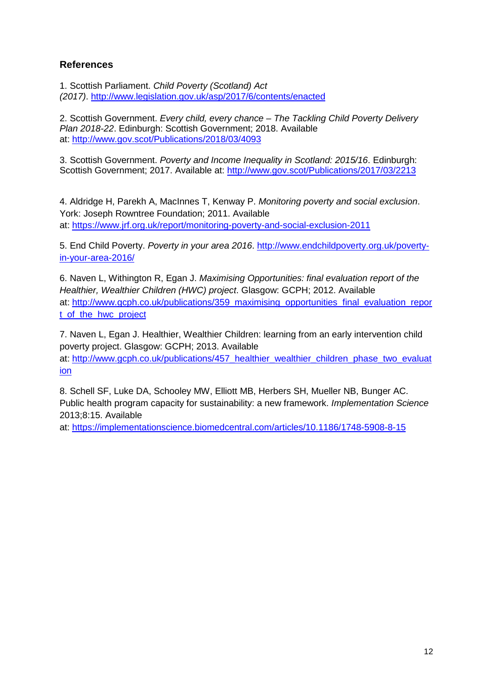## **References**

1. Scottish Parliament. *Child Poverty (Scotland) Act (2017)*.<http://www.legislation.gov.uk/asp/2017/6/contents/enacted>

2. Scottish Government. *Every child, every chance – The Tackling Child Poverty Delivery Plan 2018-22*. Edinburgh: Scottish Government; 2018. Available at:<http://www.gov.scot/Publications/2018/03/4093>

3. Scottish Government. *Poverty and Income Inequality in Scotland: 2015/16*. Edinburgh: Scottish Government; 2017. Available at:<http://www.gov.scot/Publications/2017/03/2213>

4. Aldridge H, Parekh A, MacInnes T, Kenway P. *Monitoring poverty and social exclusion*. York: Joseph Rowntree Foundation; 2011. Available at: <https://www.jrf.org.uk/report/monitoring-poverty-and-social-exclusion-2011>

5. End Child Poverty. *Poverty in your area 2016*. [http://www.endchildpoverty.org.uk/poverty](http://www.endchildpoverty.org.uk/poverty-in-your-area-2016/)[in-your-area-2016/](http://www.endchildpoverty.org.uk/poverty-in-your-area-2016/)

6. Naven L, Withington R, Egan J. *Maximising Opportunities: final evaluation report of the Healthier, Wealthier Children (HWC) project*. Glasgow: GCPH; 2012. Available at: [http://www.gcph.co.uk/publications/359\\_maximising\\_opportunities\\_final\\_evaluation\\_repor](http://www.gcph.co.uk/publications/359_maximising_opportunities_final_evaluation_report_of_the_hwc_project) [t\\_of\\_the\\_hwc\\_project](http://www.gcph.co.uk/publications/359_maximising_opportunities_final_evaluation_report_of_the_hwc_project)

7. Naven L, Egan J. Healthier, Wealthier Children: learning from an early intervention child poverty project. Glasgow: GCPH; 2013. Available at: http://www.gcph.co.uk/publications/457 healthier\_wealthier\_children\_phase\_two\_evaluat [ion](http://www.gcph.co.uk/publications/457_healthier_wealthier_children_phase_two_evaluation)

8. Schell SF, Luke DA, Schooley MW, Elliott MB, Herbers SH, Mueller NB, Bunger AC. Public health program capacity for sustainability: a new framework. *Implementation Science* 2013;8:15. Available

at: <https://implementationscience.biomedcentral.com/articles/10.1186/1748-5908-8-15>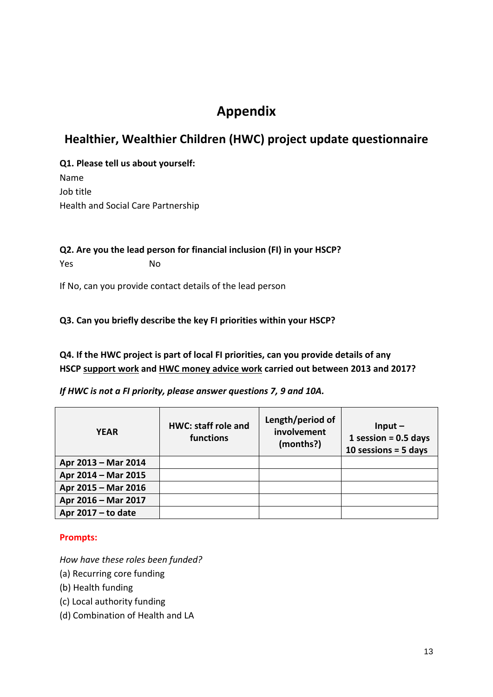# **Appendix**

## **Healthier, Wealthier Children (HWC) project update questionnaire**

**Q1. Please tell us about yourself:** Name Job title Health and Social Care Partnership

**Q2. Are you the lead person for financial inclusion (FI) in your HSCP?** Yes No

If No, can you provide contact details of the lead person

## **Q3. Can you briefly describe the key FI priorities within your HSCP?**

**Q4. If the HWC project is part of local FI priorities, can you provide details of any HSCP support work and HWC money advice work carried out between 2013 and 2017?**

## *If HWC is not a FI priority, please answer questions 7, 9 and 10A.*

| <b>YEAR</b>          | <b>HWC: staff role and</b><br>functions | Length/period of<br>involvement<br>(months?) | Input $-$<br>1 session = $0.5$ days<br>10 sessions = $5$ days |
|----------------------|-----------------------------------------|----------------------------------------------|---------------------------------------------------------------|
| Apr 2013 - Mar 2014  |                                         |                                              |                                                               |
| Apr 2014 - Mar 2015  |                                         |                                              |                                                               |
| Apr 2015 - Mar 2016  |                                         |                                              |                                                               |
| Apr 2016 - Mar 2017  |                                         |                                              |                                                               |
| Apr $2017 - to date$ |                                         |                                              |                                                               |

## **Prompts:**

*How have these roles been funded?*

- (a) Recurring core funding
- (b) Health funding
- (c) Local authority funding
- (d) Combination of Health and LA